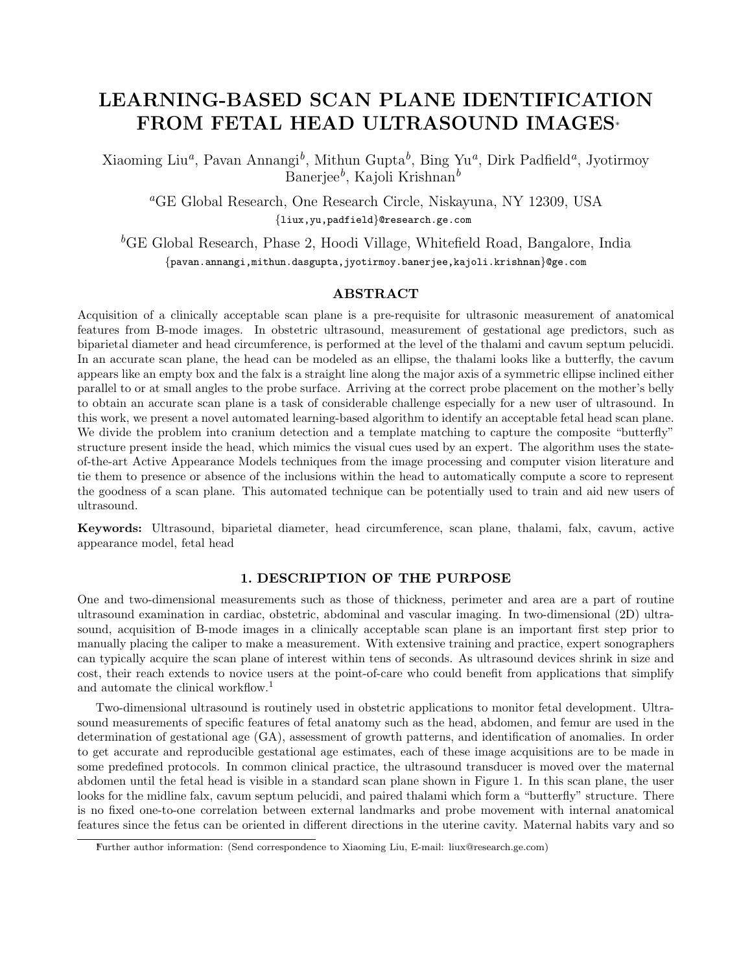# LEARNING-BASED SCAN PLANE IDENTIFICATION FROM FETAL HEAD ULTRASOUND IMAGES<sup>∗</sup>

Xiaoming Liu<sup>a</sup>, Pavan Annangi<sup>b</sup>, Mithun Gupta<sup>b</sup>, Bing Yu<sup>a</sup>, Dirk Padfield<sup>a</sup>, Jyotirmoy Banerjee $^b$ , Kajoli Krishnan $^b$ 

<sup>a</sup>GE Global Research, One Research Circle, Niskayuna, NY 12309, USA {liux,yu,padfield}@research.ge.com

 ${}^{b}$ GE Global Research, Phase 2, Hoodi Village, Whitefield Road, Bangalore, India {pavan.annangi,mithun.dasgupta,jyotirmoy.banerjee,kajoli.krishnan}@ge.com

# ABSTRACT

Acquisition of a clinically acceptable scan plane is a pre-requisite for ultrasonic measurement of anatomical features from B-mode images. In obstetric ultrasound, measurement of gestational age predictors, such as biparietal diameter and head circumference, is performed at the level of the thalami and cavum septum pelucidi. In an accurate scan plane, the head can be modeled as an ellipse, the thalami looks like a butterfly, the cavum appears like an empty box and the falx is a straight line along the major axis of a symmetric ellipse inclined either parallel to or at small angles to the probe surface. Arriving at the correct probe placement on the mother's belly to obtain an accurate scan plane is a task of considerable challenge especially for a new user of ultrasound. In this work, we present a novel automated learning-based algorithm to identify an acceptable fetal head scan plane. We divide the problem into cranium detection and a template matching to capture the composite "butterfly" structure present inside the head, which mimics the visual cues used by an expert. The algorithm uses the stateof-the-art Active Appearance Models techniques from the image processing and computer vision literature and tie them to presence or absence of the inclusions within the head to automatically compute a score to represent the goodness of a scan plane. This automated technique can be potentially used to train and aid new users of ultrasound.

Keywords: Ultrasound, biparietal diameter, head circumference, scan plane, thalami, falx, cavum, active appearance model, fetal head

# 1. DESCRIPTION OF THE PURPOSE

One and two-dimensional measurements such as those of thickness, perimeter and area are a part of routine ultrasound examination in cardiac, obstetric, abdominal and vascular imaging. In two-dimensional (2D) ultrasound, acquisition of B-mode images in a clinically acceptable scan plane is an important first step prior to manually placing the caliper to make a measurement. With extensive training and practice, expert sonographers can typically acquire the scan plane of interest within tens of seconds. As ultrasound devices shrink in size and cost, their reach extends to novice users at the point-of-care who could benefit from applications that simplify and automate the clinical workflow.<sup>1</sup>

Two-dimensional ultrasound is routinely used in obstetric applications to monitor fetal development. Ultrasound measurements of specific features of fetal anatomy such as the head, abdomen, and femur are used in the determination of gestational age (GA), assessment of growth patterns, and identification of anomalies. In order to get accurate and reproducible gestational age estimates, each of these image acquisitions are to be made in some predefined protocols. In common clinical practice, the ultrasound transducer is moved over the maternal abdomen until the fetal head is visible in a standard scan plane shown in Figure 1. In this scan plane, the user looks for the midline falx, cavum septum pelucidi, and paired thalami which form a "butterfly" structure. There is no fixed one-to-one correlation between external landmarks and probe movement with internal anatomical features since the fetus can be oriented in different directions in the uterine cavity. Maternal habits vary and so

<sup>∗</sup>Further author information: (Send correspondence to Xiaoming Liu, E-mail: liux@research.ge.com)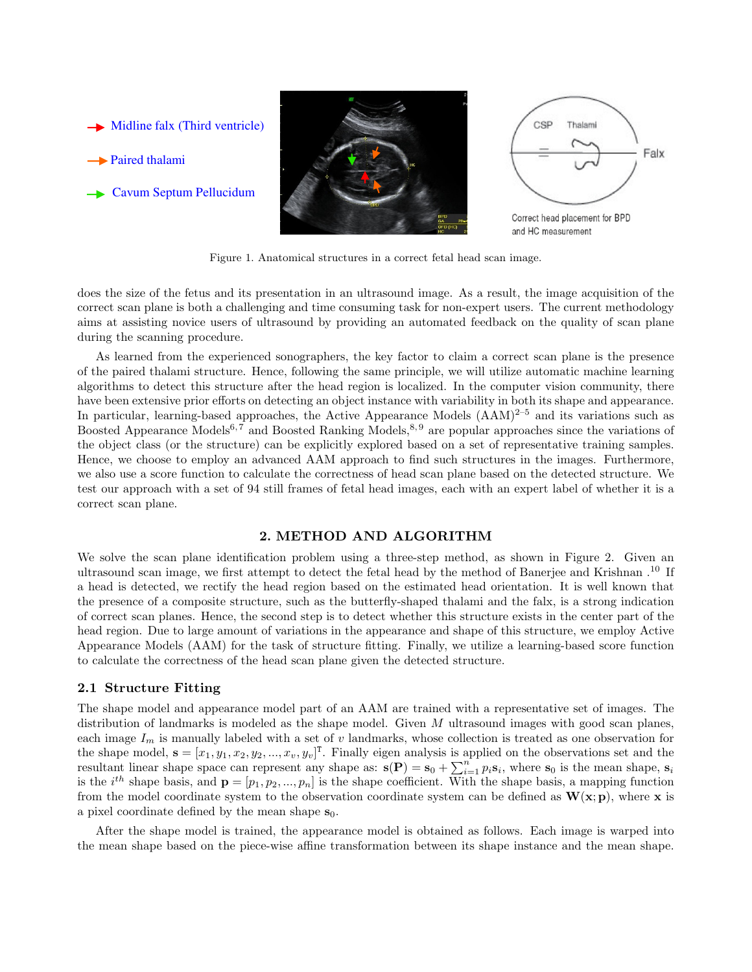

Figure 1. Anatomical structures in a correct fetal head scan image.

does the size of the fetus and its presentation in an ultrasound image. As a result, the image acquisition of the correct scan plane is both a challenging and time consuming task for non-expert users. The current methodology aims at assisting novice users of ultrasound by providing an automated feedback on the quality of scan plane during the scanning procedure.

As learned from the experienced sonographers, the key factor to claim a correct scan plane is the presence of the paired thalami structure. Hence, following the same principle, we will utilize automatic machine learning algorithms to detect this structure after the head region is localized. In the computer vision community, there have been extensive prior efforts on detecting an object instance with variability in both its shape and appearance. In particular, learning-based approaches, the Active Appearance Models  $(AAM)^{2-5}$  and its variations such as Boosted Appearance Models<sup>6,7</sup> and Boosted Ranking Models,<sup>8,9</sup> are popular approaches since the variations of the object class (or the structure) can be explicitly explored based on a set of representative training samples. Hence, we choose to employ an advanced AAM approach to find such structures in the images. Furthermore, we also use a score function to calculate the correctness of head scan plane based on the detected structure. We test our approach with a set of 94 still frames of fetal head images, each with an expert label of whether it is a correct scan plane.

# 2. METHOD AND ALGORITHM

We solve the scan plane identification problem using a three-step method, as shown in Figure 2. Given an ultrasound scan image, we first attempt to detect the fetal head by the method of Banerjee and Krishnan .<sup>10</sup> If a head is detected, we rectify the head region based on the estimated head orientation. It is well known that the presence of a composite structure, such as the butterfly-shaped thalami and the falx, is a strong indication of correct scan planes. Hence, the second step is to detect whether this structure exists in the center part of the head region. Due to large amount of variations in the appearance and shape of this structure, we employ Active Appearance Models (AAM) for the task of structure fitting. Finally, we utilize a learning-based score function to calculate the correctness of the head scan plane given the detected structure.

## 2.1 Structure Fitting

The shape model and appearance model part of an AAM are trained with a representative set of images. The distribution of landmarks is modeled as the shape model. Given  $M$  ultrasound images with good scan planes, each image  $I_m$  is manually labeled with a set of v landmarks, whose collection is treated as one observation for the shape model,  $\mathbf{s} = [x_1, y_1, x_2, y_2, ..., x_v, y_v]^T$ . Finally eigen analysis is applied on the observations set and the resultant linear shape space can represent any shape as:  $\mathbf{s}(\mathbf{P}) = \mathbf{s}_0 + \sum_{i=1}^n p_i \mathbf{s}_i$ , where  $\mathbf{s}_0$  is the mean shape,  $\mathbf{s}_i$ is the i<sup>th</sup> shape basis, and  $\mathbf{p} = [p_1, p_2, ..., p_n]$  is the shape coefficient. With the shape basis, a mapping function from the model coordinate system to the observation coordinate system can be defined as  $W(x; p)$ , where x is a pixel coordinate defined by the mean shape  $s_0$ .

After the shape model is trained, the appearance model is obtained as follows. Each image is warped into the mean shape based on the piece-wise affine transformation between its shape instance and the mean shape.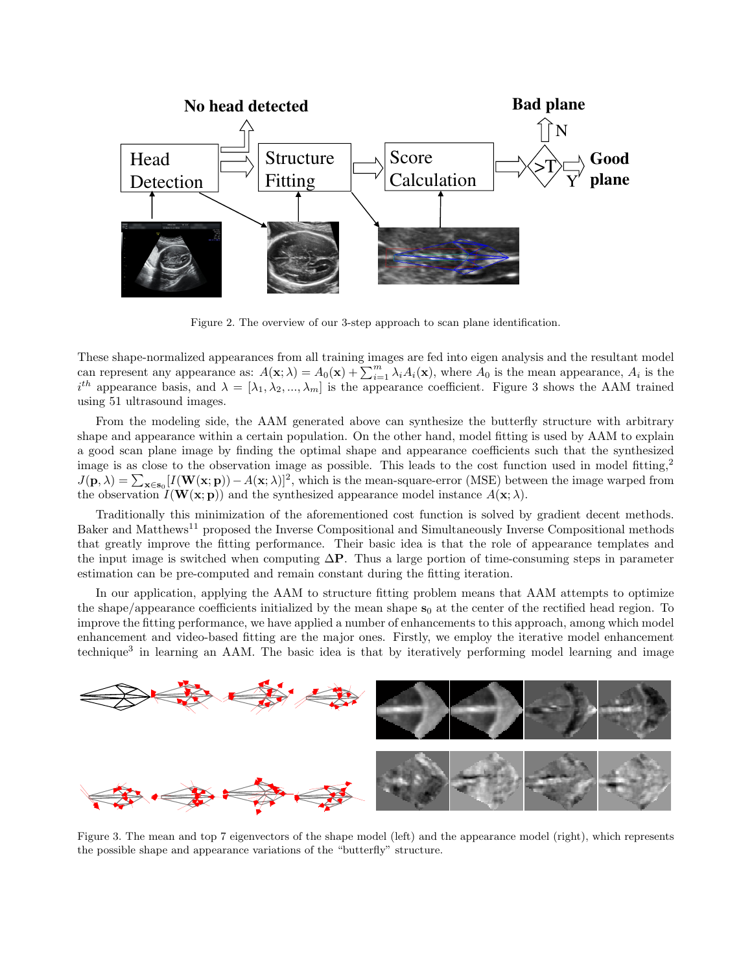

Figure 2. The overview of our 3-step approach to scan plane identification.

These shape-normalized appearances from all training images are fed into eigen analysis and the resultant model can represent any appearance as:  $A(\mathbf{x}; \lambda) = A_0(\mathbf{x}) + \sum_{i=1}^m \lambda_i A_i(\mathbf{x})$ , where  $A_0$  is the mean appearance,  $A_i$  is the  $i^{th}$  appearance basis, and  $\lambda = [\lambda_1, \lambda_2, ..., \lambda_m]$  is the appearance coefficient. Figure 3 shows the AAM trained using 51 ultrasound images.

From the modeling side, the AAM generated above can synthesize the butterfly structure with arbitrary shape and appearance within a certain population. On the other hand, model fitting is used by AAM to explain a good scan plane image by finding the optimal shape and appearance coefficients such that the synthesized image is as close to the observation image as possible. This leads to the cost function used in model fitting,<sup>2</sup>  $J(\mathbf{p}, \lambda) = \sum_{\mathbf{x} \in \mathbf{s}_0} [I(\mathbf{W}(\mathbf{x}; \mathbf{p})) - A(\mathbf{x}; \lambda)]^2$ , which is the mean-square-error (MSE) between the image warped from the observation  $I(\mathbf{W}(\mathbf{x}; \mathbf{p}))$  and the synthesized appearance model instance  $A(\mathbf{x}; \lambda)$ .

Traditionally this minimization of the aforementioned cost function is solved by gradient decent methods. Baker and Matthews<sup>11</sup> proposed the Inverse Compositional and Simultaneously Inverse Compositional methods that greatly improve the fitting performance. Their basic idea is that the role of appearance templates and the input image is switched when computing  $\Delta P$ . Thus a large portion of time-consuming steps in parameter estimation can be pre-computed and remain constant during the fitting iteration.

In our application, applying the AAM to structure fitting problem means that AAM attempts to optimize the shape/appearance coefficients initialized by the mean shape  $s_0$  at the center of the rectified head region. To improve the fitting performance, we have applied a number of enhancements to this approach, among which model enhancement and video-based fitting are the major ones. Firstly, we employ the iterative model enhancement technique<sup>3</sup> in learning an AAM. The basic idea is that by iteratively performing model learning and image



Figure 3. The mean and top 7 eigenvectors of the shape model (left) and the appearance model (right), which represents the possible shape and appearance variations of the "butterfly" structure.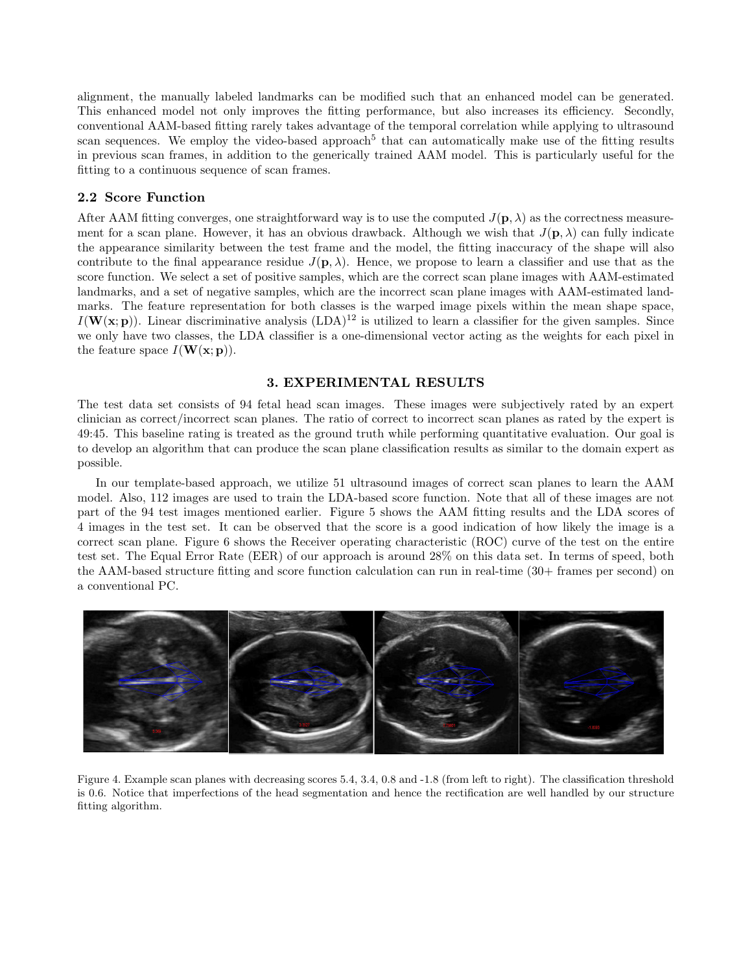alignment, the manually labeled landmarks can be modified such that an enhanced model can be generated. This enhanced model not only improves the fitting performance, but also increases its efficiency. Secondly, conventional AAM-based fitting rarely takes advantage of the temporal correlation while applying to ultrasound scan sequences. We employ the video-based approach<sup>5</sup> that can automatically make use of the fitting results in previous scan frames, in addition to the generically trained AAM model. This is particularly useful for the fitting to a continuous sequence of scan frames.

## 2.2 Score Function

After AAM fitting converges, one straightforward way is to use the computed  $J(\mathbf{p}, \lambda)$  as the correctness measurement for a scan plane. However, it has an obvious drawback. Although we wish that  $J(\mathbf{p},\lambda)$  can fully indicate the appearance similarity between the test frame and the model, the fitting inaccuracy of the shape will also contribute to the final appearance residue  $J(\mathbf{p}, \lambda)$ . Hence, we propose to learn a classifier and use that as the score function. We select a set of positive samples, which are the correct scan plane images with AAM-estimated landmarks, and a set of negative samples, which are the incorrect scan plane images with AAM-estimated landmarks. The feature representation for both classes is the warped image pixels within the mean shape space,  $I(\mathbf{W}(\mathbf{x}; \mathbf{p}))$ . Linear discriminative analysis (LDA)<sup>12</sup> is utilized to learn a classifier for the given samples. Since we only have two classes, the LDA classifier is a one-dimensional vector acting as the weights for each pixel in the feature space  $I(\mathbf{W}(\mathbf{x}; \mathbf{p}))$ .

## 3. EXPERIMENTAL RESULTS

The test data set consists of 94 fetal head scan images. These images were subjectively rated by an expert clinician as correct/incorrect scan planes. The ratio of correct to incorrect scan planes as rated by the expert is 49:45. This baseline rating is treated as the ground truth while performing quantitative evaluation. Our goal is to develop an algorithm that can produce the scan plane classification results as similar to the domain expert as possible.

In our template-based approach, we utilize 51 ultrasound images of correct scan planes to learn the AAM model. Also, 112 images are used to train the LDA-based score function. Note that all of these images are not part of the 94 test images mentioned earlier. Figure 5 shows the AAM fitting results and the LDA scores of 4 images in the test set. It can be observed that the score is a good indication of how likely the image is a correct scan plane. Figure 6 shows the Receiver operating characteristic (ROC) curve of the test on the entire test set. The Equal Error Rate (EER) of our approach is around 28% on this data set. In terms of speed, both the AAM-based structure fitting and score function calculation can run in real-time (30+ frames per second) on a conventional PC.



Figure 4. Example scan planes with decreasing scores 5.4, 3.4, 0.8 and -1.8 (from left to right). The classification threshold is 0.6. Notice that imperfections of the head segmentation and hence the rectification are well handled by our structure fitting algorithm.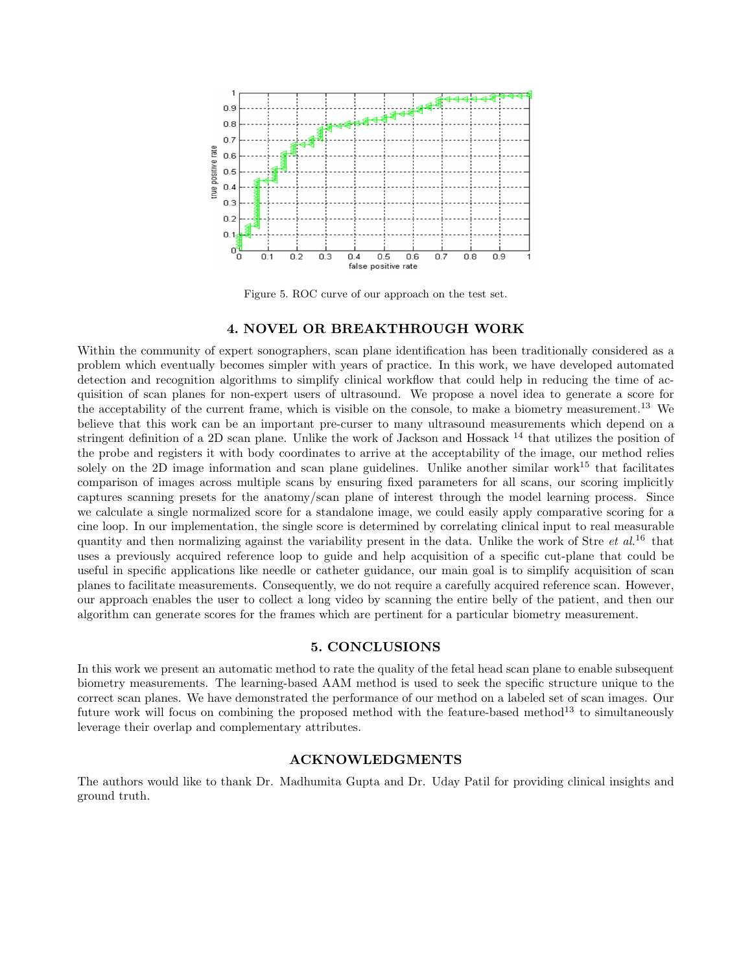

Figure 5. ROC curve of our approach on the test set.

#### 4. NOVEL OR BREAKTHROUGH WORK

Within the community of expert sonographers, scan plane identification has been traditionally considered as a problem which eventually becomes simpler with years of practice. In this work, we have developed automated detection and recognition algorithms to simplify clinical workflow that could help in reducing the time of acquisition of scan planes for non-expert users of ultrasound. We propose a novel idea to generate a score for the acceptability of the current frame, which is visible on the console, to make a biometry measurement.<sup>13</sup> We believe that this work can be an important pre-curser to many ultrasound measurements which depend on a stringent definition of a 2D scan plane. Unlike the work of Jackson and Hossack  $^{14}$  that utilizes the position of the probe and registers it with body coordinates to arrive at the acceptability of the image, our method relies solely on the 2D image information and scan plane guidelines. Unlike another similar work<sup>15</sup> that facilitates comparison of images across multiple scans by ensuring fixed parameters for all scans, our scoring implicitly captures scanning presets for the anatomy/scan plane of interest through the model learning process. Since we calculate a single normalized score for a standalone image, we could easily apply comparative scoring for a cine loop. In our implementation, the single score is determined by correlating clinical input to real measurable quantity and then normalizing against the variability present in the data. Unlike the work of Stre *et al.*<sup>16</sup> that uses a previously acquired reference loop to guide and help acquisition of a specific cut-plane that could be useful in specific applications like needle or catheter guidance, our main goal is to simplify acquisition of scan planes to facilitate measurements. Consequently, we do not require a carefully acquired reference scan. However, our approach enables the user to collect a long video by scanning the entire belly of the patient, and then our algorithm can generate scores for the frames which are pertinent for a particular biometry measurement.

# 5. CONCLUSIONS

In this work we present an automatic method to rate the quality of the fetal head scan plane to enable subsequent biometry measurements. The learning-based AAM method is used to seek the specific structure unique to the correct scan planes. We have demonstrated the performance of our method on a labeled set of scan images. Our future work will focus on combining the proposed method with the feature-based method<sup>13</sup> to simultaneously leverage their overlap and complementary attributes.

## ACKNOWLEDGMENTS

The authors would like to thank Dr. Madhumita Gupta and Dr. Uday Patil for providing clinical insights and ground truth.